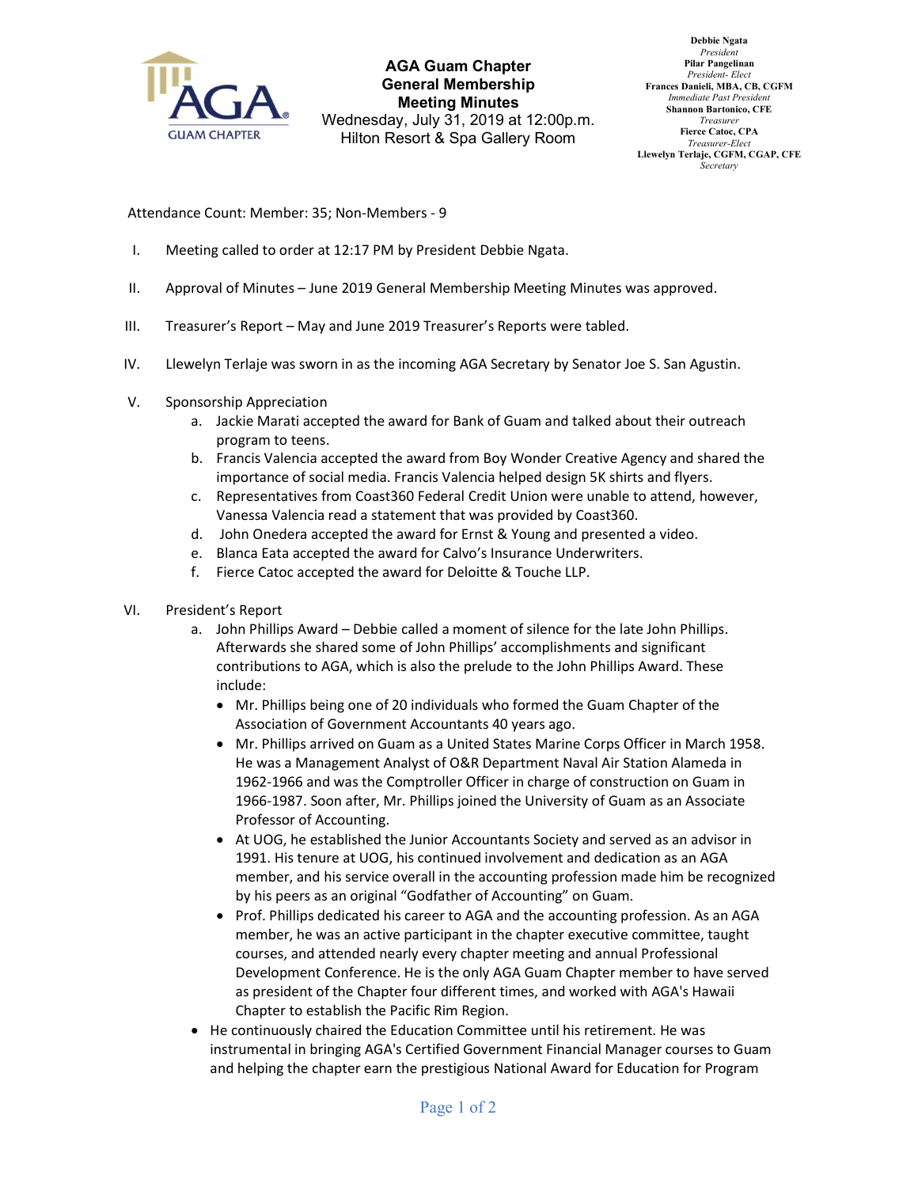

AGA Guam Chapter General Membership Meeting Minutes Wednesday, July 31, 2019 at 12:00p.m. Hilton Resort & Spa Gallery Room

Debbie Ngata President Pilar Pangelinan President- Elect Frances Danieli, MBA, CB, CGFM Immediate Past Presiden Shannon Bartonico, CFE Treasurer Fierce Catoc, CPA Treasurer-Elect Llewelyn Terlaje, CGFM, CGAP, CFE **Secretary** 

Attendance Count: Member: 35; Non-Members - 9

- I. Meeting called to order at 12:17 PM by President Debbie Ngata.
- II. Approval of Minutes June 2019 General Membership Meeting Minutes was approved.
- III. Treasurer's Report May and June 2019 Treasurer's Reports were tabled.
- IV. Llewelyn Terlaje was sworn in as the incoming AGA Secretary by Senator Joe S. San Agustin.
- V. Sponsorship Appreciation
	- a. Jackie Marati accepted the award for Bank of Guam and talked about their outreach program to teens.
	- b. Francis Valencia accepted the award from Boy Wonder Creative Agency and shared the importance of social media. Francis Valencia helped design 5K shirts and flyers.
	- c. Representatives from Coast360 Federal Credit Union were unable to attend, however, Vanessa Valencia read a statement that was provided by Coast360.
	- d. John Onedera accepted the award for Ernst & Young and presented a video.
	- e. Blanca Eata accepted the award for Calvo's Insurance Underwriters.
	- f. Fierce Catoc accepted the award for Deloitte & Touche LLP.
- VI. President's Report
	- a. John Phillips Award Debbie called a moment of silence for the late John Phillips. Afterwards she shared some of John Phillips' accomplishments and significant contributions to AGA, which is also the prelude to the John Phillips Award. These include:
		- Mr. Phillips being one of 20 individuals who formed the Guam Chapter of the Association of Government Accountants 40 years ago.
		- Mr. Phillips arrived on Guam as a United States Marine Corps Officer in March 1958. He was a Management Analyst of O&R Department Naval Air Station Alameda in 1962-1966 and was the Comptroller Officer in charge of construction on Guam in 1966-1987. Soon after, Mr. Phillips joined the University of Guam as an Associate Professor of Accounting.
		- At UOG, he established the Junior Accountants Society and served as an advisor in 1991. His tenure at UOG, his continued involvement and dedication as an AGA member, and his service overall in the accounting profession made him be recognized by his peers as an original "Godfather of Accounting" on Guam.
		- Prof. Phillips dedicated his career to AGA and the accounting profession. As an AGA member, he was an active participant in the chapter executive committee, taught courses, and attended nearly every chapter meeting and annual Professional Development Conference. He is the only AGA Guam Chapter member to have served as president of the Chapter four different times, and worked with AGA's Hawaii Chapter to establish the Pacific Rim Region.
	- He continuously chaired the Education Committee until his retirement. He was instrumental in bringing AGA's Certified Government Financial Manager courses to Guam and helping the chapter earn the prestigious National Award for Education for Program